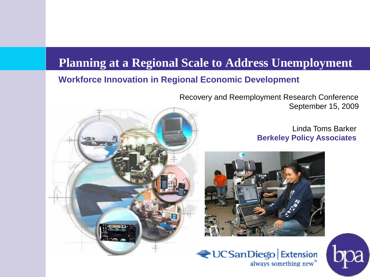#### **Planning at a Regional Scale to Address Unemployment**

#### **Workforce Innovation in Regional Economic Development**

Recovery and Reemployment Research Conference September 15, 2009

> Linda Toms Barker **Berkeley Policy Associates**





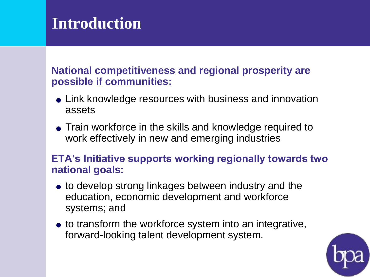### **Introduction**

#### **National competitiveness and regional prosperity are possible if communities:**

- Link knowledge resources with business and innovation assets
- Train workforce in the skills and knowledge required to work effectively in new and emerging industries

#### **ETA's Initiative supports working regionally towards two national goals:**

- to develop strong linkages between industry and the education, economic development and workforce systems; and
- to transform the workforce system into an integrative, forward-looking talent development system.

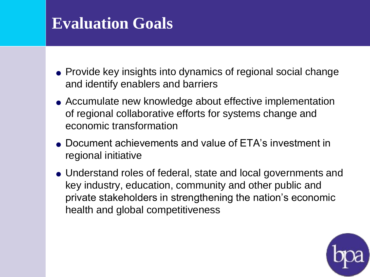### **Evaluation Goals**

- Provide key insights into dynamics of regional social change and identify enablers and barriers
- Accumulate new knowledge about effective implementation of regional collaborative efforts for systems change and economic transformation
- Document achievements and value of ETA's investment in regional initiative
- Understand roles of federal, state and local governments and key industry, education, community and other public and private stakeholders in strengthening the nation's economic health and global competitiveness

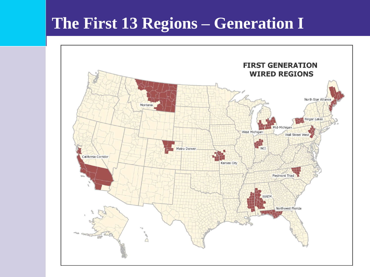#### **The First 13 Regions – Generation I**

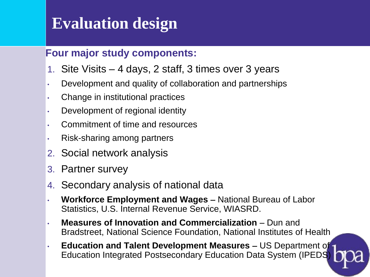### **Evaluation design**

#### **Four major study components:**

- 1. Site Visits 4 days, 2 staff, 3 times over 3 years
- Development and quality of collaboration and partnerships
- Change in institutional practices
- Development of regional identity
- • Commitment of time and resources
- Risk-sharing among partners
- 2. Social network analysis
- 3. Partner survey
- 4. Secondary analysis of national data
- • **Workforce Employment and Wages**  National Bureau of Labor Statistics, U.S. Internal Revenue Service, WIASRD.
- Bradstreet, National Science Foundation, National Institutes of Health **Measures of Innovation and Commercialization - Dun and**
- **Education and Talent Development Measures** US Department of Education Integrated Postsecondary Education Data System (IPEDS)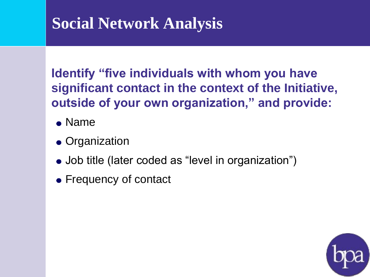## **Social Network Analysis**

**Identify "five individuals with whom you have significant contact in the context of the Initiative, outside of your own organization," and provide:**

- Name
- Organization
- Job title (later coded as "level in organization")
- Frequency of contact

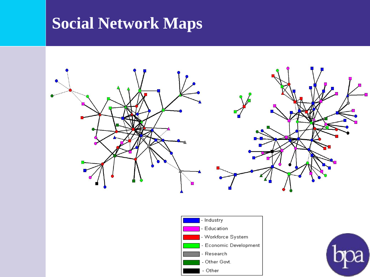# **Social Network Maps**





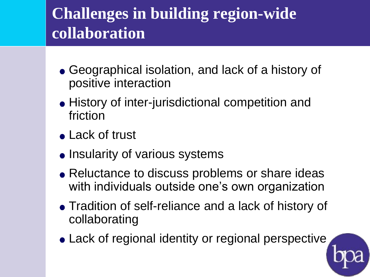# **Challenges in building region-wide collaboration**

- Geographical isolation, and lack of a history of positive interaction
- History of inter-jurisdictional competition and friction
- Lack of trust
- **.** Insularity of various systems
- Reluctance to discuss problems or share ideas with individuals outside one's own organization
- Tradition of self-reliance and a lack of history of collaborating
- Lack of regional identity or regional perspective

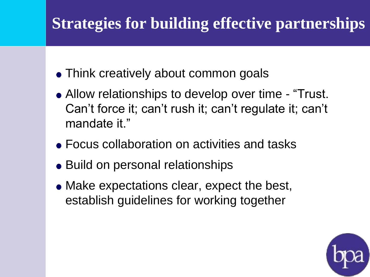## **Strategies for building effective partnerships**

- Think creatively about common goals
- Allow relationships to develop over time "Trust. Can't force it; can't rush it; can't regulate it; can't mandate it."
- Focus collaboration on activities and tasks
- Build on personal relationships
- Make expectations clear, expect the best, establish guidelines for working together

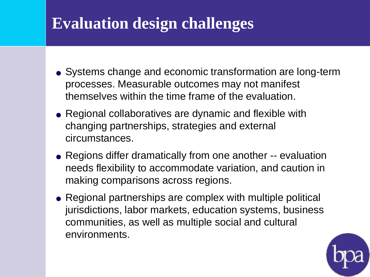### **Evaluation design challenges**

- Systems change and economic transformation are long-term themselves within the time frame of the evaluation. processes. Measurable outcomes may not manifest
- $\bullet$  Regional collaboratives are dynamic and flexible with changing partnerships, strategies and external circumstances.
- Regions differ dramatically from one another -- evaluation needs flexibility to accommodate variation, and caution in making comparisons across regions.
- communities, as well as multiple social and cultural • Regional partnerships are complex with multiple political jurisdictions, labor markets, education systems, business environments.

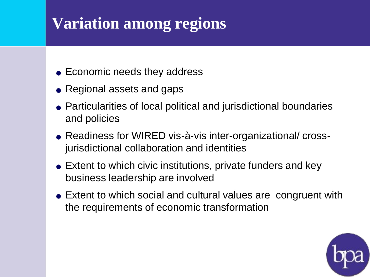# **Variation among regions**

- Economic needs they address
- Regional assets and gaps
- Particularities of local political and jurisdictional boundaries and policies
- Readiness for WIRED vis-à-vis inter-organizational/ crossjurisdictional collaboration and identities
- Extent to which civic institutions, private funders and key business leadership are involved
- Extent to which social and cultural values are congruent with the requirements of economic transformation

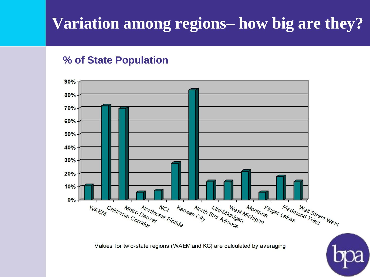# **Variation among regions– how big are they?**

#### **% of State Population**



Values for two-state regions (WAEM and KC) are calculated by averaging

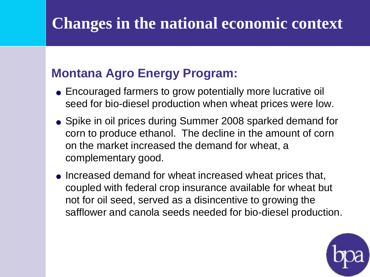# **Changes in the national economic context**

#### **Montana Agro Energy Program:**

- seed for bio-diesel production when wheat prices were low. Encouraged farmers to grow potentially more lucrative oil
- on the market increased the demand for wheat, a • Spike in oil prices during Summer 2008 sparked demand for corn to produce ethanol. The decline in the amount of corn complementary good.
- Increased demand for wheat increased wheat prices that, coupled with federal crop insurance available for wheat but not for oil seed, served as a disincentive to growing the safflower and canola seeds needed for bio-diesel production.

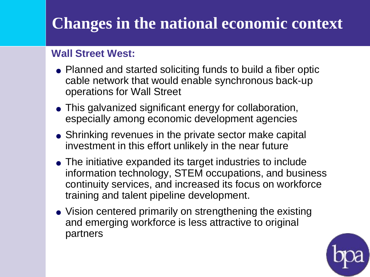# **Changes in the national economic context**

#### **Wall Street West:**

- Planned and started soliciting funds to build a fiber optic cable network that would enable synchronous back-up operations for Wall Street
- especially among economic development agencies • This galvanized significant energy for collaboration,
- investment in this effort unlikely in the near future • Shrinking revenues in the private sector make capital
- The initiative expanded its target industries to include information technology, STEM occupations, and business continuity services, and increased its focus on workforce training and talent pipeline development.<br>• Vision centered primarily on strengthening the existing
- and emerging workforce is less attractive to original partners

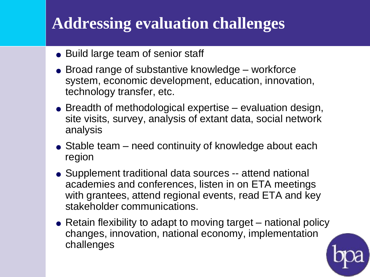# **Addressing evaluation challenges**

- Build large team of senior staff
- Broad range of substantive knowledge workforce technology transfer, etc. system, economic development, education, innovation,
- site visits, survey, analysis of extant data, social network Breadth of methodological expertise – evaluation design, analysis
- Stable team need continuity of knowledge about each region
- Supplement traditional data sources -- attend national academies and conferences, listen in on ETA meetings with grantees, attend regional events, read ETA and key stakeholder communications.
- Retain flexibility to adapt to moving target national policy changes, innovation, national economy, implementation challenges